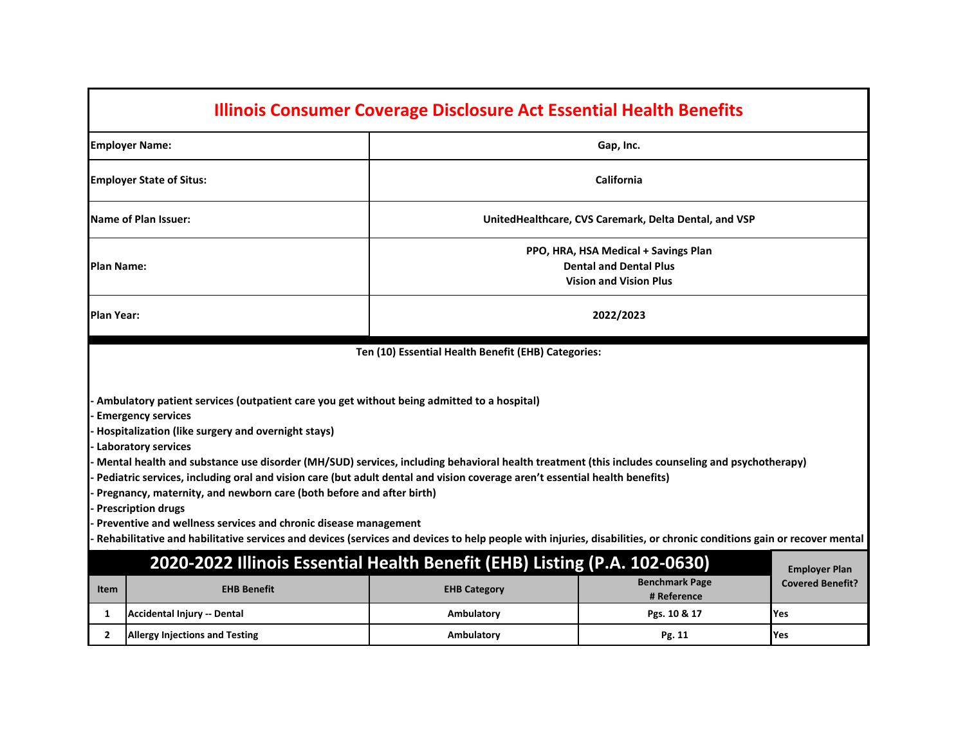| <b>Illinois Consumer Coverage Disclosure Act Essential Health Benefits</b>                                                                                                                                                                                                                                                                                                                                                                                                                                                                                                                                                                                                                                                                                                                                                                                                                 |                                                                                                        |                                                       |                                      |                         |  |  |  |  |
|--------------------------------------------------------------------------------------------------------------------------------------------------------------------------------------------------------------------------------------------------------------------------------------------------------------------------------------------------------------------------------------------------------------------------------------------------------------------------------------------------------------------------------------------------------------------------------------------------------------------------------------------------------------------------------------------------------------------------------------------------------------------------------------------------------------------------------------------------------------------------------------------|--------------------------------------------------------------------------------------------------------|-------------------------------------------------------|--------------------------------------|-------------------------|--|--|--|--|
|                                                                                                                                                                                                                                                                                                                                                                                                                                                                                                                                                                                                                                                                                                                                                                                                                                                                                            | <b>Employer Name:</b>                                                                                  | Gap, Inc.                                             |                                      |                         |  |  |  |  |
|                                                                                                                                                                                                                                                                                                                                                                                                                                                                                                                                                                                                                                                                                                                                                                                                                                                                                            | California<br><b>Employer State of Situs:</b>                                                          |                                                       |                                      |                         |  |  |  |  |
|                                                                                                                                                                                                                                                                                                                                                                                                                                                                                                                                                                                                                                                                                                                                                                                                                                                                                            | Name of Plan Issuer:                                                                                   | UnitedHealthcare, CVS Caremark, Delta Dental, and VSP |                                      |                         |  |  |  |  |
| Plan Name:                                                                                                                                                                                                                                                                                                                                                                                                                                                                                                                                                                                                                                                                                                                                                                                                                                                                                 | PPO, HRA, HSA Medical + Savings Plan<br><b>Dental and Dental Plus</b><br><b>Vision and Vision Plus</b> |                                                       |                                      |                         |  |  |  |  |
| Plan Year:                                                                                                                                                                                                                                                                                                                                                                                                                                                                                                                                                                                                                                                                                                                                                                                                                                                                                 | 2022/2023                                                                                              |                                                       |                                      |                         |  |  |  |  |
| Ten (10) Essential Health Benefit (EHB) Categories:<br>Ambulatory patient services (outpatient care you get without being admitted to a hospital)<br><b>Emergency services</b><br>Hospitalization (like surgery and overnight stays)<br>Laboratory services<br>Mental health and substance use disorder (MH/SUD) services, including behavioral health treatment (this includes counseling and psychotherapy)<br>Pediatric services, including oral and vision care (but adult dental and vision coverage aren't essential health benefits)<br>Pregnancy, maternity, and newborn care (both before and after birth)<br><b>Prescription drugs</b><br>Preventive and wellness services and chronic disease management<br>Rehabilitative and habilitative services and devices (services and devices to help people with injuries, disabilities, or chronic conditions gain or recover mental |                                                                                                        |                                                       |                                      |                         |  |  |  |  |
|                                                                                                                                                                                                                                                                                                                                                                                                                                                                                                                                                                                                                                                                                                                                                                                                                                                                                            | 2020-2022 Illinois Essential Health Benefit (EHB) Listing (P.A. 102-0630)                              |                                                       |                                      | <b>Employer Plan</b>    |  |  |  |  |
| <b>Item</b>                                                                                                                                                                                                                                                                                                                                                                                                                                                                                                                                                                                                                                                                                                                                                                                                                                                                                | <b>EHB Benefit</b>                                                                                     | <b>EHB Category</b>                                   | <b>Benchmark Page</b><br># Reference | <b>Covered Benefit?</b> |  |  |  |  |
| 1                                                                                                                                                                                                                                                                                                                                                                                                                                                                                                                                                                                                                                                                                                                                                                                                                                                                                          | Accidental Injury -- Dental                                                                            | Ambulatory                                            | Pgs. 10 & 17                         | Yes                     |  |  |  |  |
| $\mathbf{2}$                                                                                                                                                                                                                                                                                                                                                                                                                                                                                                                                                                                                                                                                                                                                                                                                                                                                               | <b>Allergy Injections and Testing</b>                                                                  | Ambulatory                                            | Pg. 11                               | Yes                     |  |  |  |  |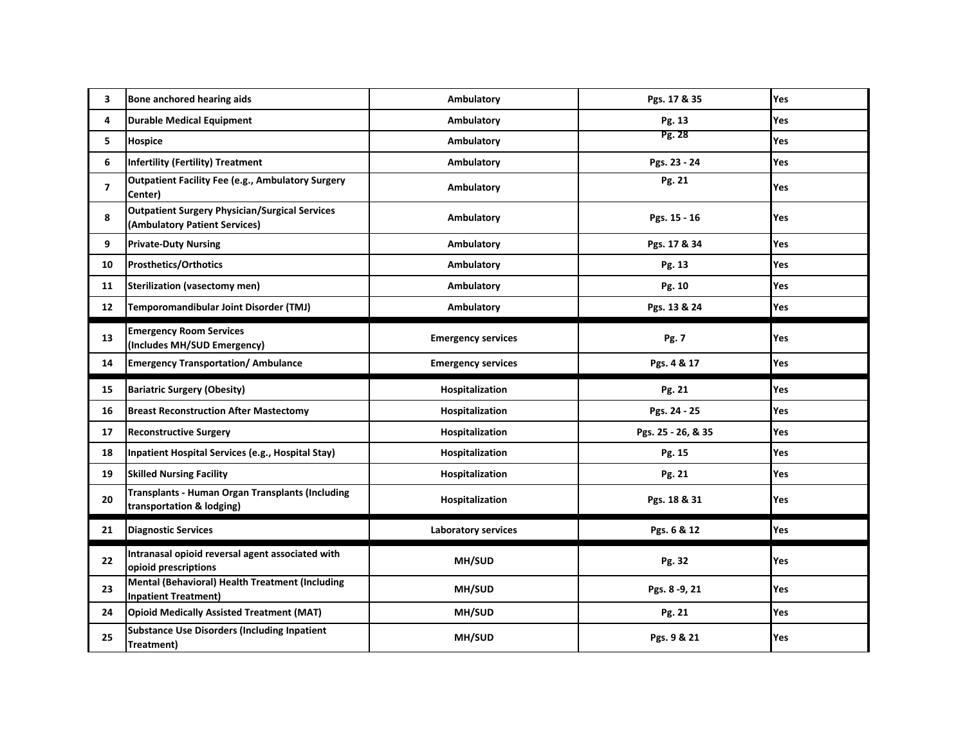| 3              | Bone anchored hearing aids                                                             | Ambulatory                 | Pgs. 17 & 35       | Yes |
|----------------|----------------------------------------------------------------------------------------|----------------------------|--------------------|-----|
| 4              | <b>Durable Medical Equipment</b>                                                       | Ambulatory                 | Pg. 13             | Yes |
| 5              | <b>Hospice</b>                                                                         | Ambulatory                 | Pg. 28             | Yes |
| 6              | <b>Infertility (Fertility) Treatment</b>                                               | Ambulatory                 | Pgs. 23 - 24       | Yes |
| $\overline{7}$ | <b>Outpatient Facility Fee (e.g., Ambulatory Surgery</b><br>Center)                    | Ambulatory                 | Pg. 21             | Yes |
| 8              | <b>Outpatient Surgery Physician/Surgical Services</b><br>(Ambulatory Patient Services) | Ambulatory                 | Pgs. 15 - 16       | Yes |
| 9              | <b>Private-Duty Nursing</b>                                                            | Ambulatory                 | Pgs. 17 & 34       | Yes |
| 10             | <b>Prosthetics/Orthotics</b>                                                           | Ambulatory                 | Pg. 13             | Yes |
| 11             | Sterilization (vasectomy men)                                                          | Ambulatory                 | Pg. 10             | Yes |
| 12             | Temporomandibular Joint Disorder (TMJ)                                                 | Ambulatory                 | Pgs. 13 & 24       | Yes |
| 13             | <b>Emergency Room Services</b><br>(Includes MH/SUD Emergency)                          | <b>Emergency services</b>  | Pg. 7              | Yes |
| 14             | <b>Emergency Transportation/ Ambulance</b>                                             | <b>Emergency services</b>  | Pgs. 4 & 17        | Yes |
|                |                                                                                        |                            |                    |     |
| 15             | <b>Bariatric Surgery (Obesity)</b>                                                     | Hospitalization            | Pg. 21             | Yes |
| 16             | <b>Breast Reconstruction After Mastectomy</b>                                          | Hospitalization            | Pgs. 24 - 25       | Yes |
| 17             | <b>Reconstructive Surgery</b>                                                          | Hospitalization            | Pgs. 25 - 26, & 35 | Yes |
| 18             | Inpatient Hospital Services (e.g., Hospital Stay)                                      | Hospitalization            | Pg. 15             | Yes |
| 19             | <b>Skilled Nursing Facility</b>                                                        | Hospitalization            | Pg. 21             | Yes |
| 20             | Transplants - Human Organ Transplants (Including<br>transportation & lodging)          | Hospitalization            | Pgs. 18 & 31       | Yes |
| 21             | <b>Diagnostic Services</b>                                                             | <b>Laboratory services</b> | Pgs. 6 & 12        | Yes |
| 22             | Intranasal opioid reversal agent associated with<br>opioid prescriptions               | MH/SUD                     | Pg. 32             | Yes |
| 23             | Mental (Behavioral) Health Treatment (Including<br><b>Inpatient Treatment)</b>         | <b>MH/SUD</b>              | Pgs. 8-9, 21       | Yes |
| 24             | <b>Opioid Medically Assisted Treatment (MAT)</b>                                       | MH/SUD                     | Pg. 21             | Yes |